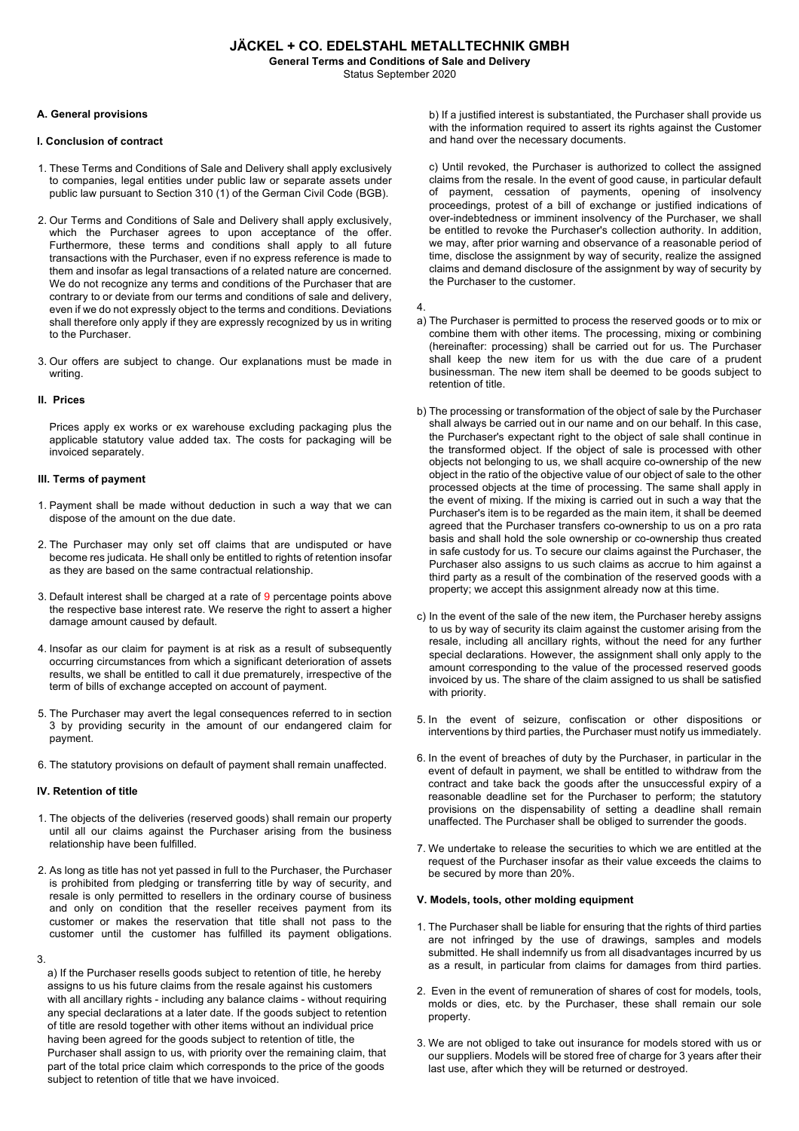# **JÄCKEL + CO. EDELSTAHL METALLTECHNIK GMBH**

**General Terms and Conditions of Sale and Delivery**

Status September 2020

# **A. General provisions**

# **I. Conclusion of contract**

- 1. These Terms and Conditions of Sale and Delivery shall apply exclusively to companies, legal entities under public law or separate assets under public law pursuant to Section 310 (1) of the German Civil Code (BGB).
- 2. Our Terms and Conditions of Sale and Delivery shall apply exclusively, which the Purchaser agrees to upon acceptance of the offer. Furthermore, these terms and conditions shall apply to all future transactions with the Purchaser, even if no express reference is made to them and insofar as legal transactions of a related nature are concerned. We do not recognize any terms and conditions of the Purchaser that are contrary to or deviate from our terms and conditions of sale and delivery, even if we do not expressly object to the terms and conditions. Deviations shall therefore only apply if they are expressly recognized by us in writing to the Purchaser.
- 3. Our offers are subject to change. Our explanations must be made in writing.

# **II. Prices**

Prices apply ex works or ex warehouse excluding packaging plus the applicable statutory value added tax. The costs for packaging will be invoiced separately.

# **III. Terms of payment**

- 1. Payment shall be made without deduction in such a way that we can dispose of the amount on the due date.
- 2. The Purchaser may only set off claims that are undisputed or have become res judicata. He shall only be entitled to rights of retention insofar as they are based on the same contractual relationship.
- 3. Default interest shall be charged at a rate of 9 percentage points above the respective base interest rate. We reserve the right to assert a higher damage amount caused by default.
- 4. Insofar as our claim for payment is at risk as a result of subsequently occurring circumstances from which a significant deterioration of assets results, we shall be entitled to call it due prematurely, irrespective of the term of bills of exchange accepted on account of payment.
- 5. The Purchaser may avert the legal consequences referred to in section 3 by providing security in the amount of our endangered claim for payment.
- 6. The statutory provisions on default of payment shall remain unaffected.

## **IV. Retention of title**

- 1. The objects of the deliveries (reserved goods) shall remain our property until all our claims against the Purchaser arising from the business relationship have been fulfilled.
- 2. As long as title has not yet passed in full to the Purchaser, the Purchaser is prohibited from pledging or transferring title by way of security, and resale is only permitted to resellers in the ordinary course of business and only on condition that the reseller receives payment from its customer or makes the reservation that title shall not pass to the customer until the customer has fulfilled its payment obligations.
- 3.

a) If the Purchaser resells goods subject to retention of title, he hereby assigns to us his future claims from the resale against his customers with all ancillary rights - including any balance claims - without requiring any special declarations at a later date. If the goods subject to retention of title are resold together with other items without an individual price having been agreed for the goods subject to retention of title, the Purchaser shall assign to us, with priority over the remaining claim, that part of the total price claim which corresponds to the price of the goods subject to retention of title that we have invoiced.

b) If a justified interest is substantiated, the Purchaser shall provide us with the information required to assert its rights against the Customer and hand over the necessary documents.

c) Until revoked, the Purchaser is authorized to collect the assigned claims from the resale. In the event of good cause, in particular default of payment, cessation of payments, opening of insolvency proceedings, protest of a bill of exchange or justified indications of over-indebtedness or imminent insolvency of the Purchaser, we shall be entitled to revoke the Purchaser's collection authority. In addition, we may, after prior warning and observance of a reasonable period of time, disclose the assignment by way of security, realize the assigned claims and demand disclosure of the assignment by way of security by the Purchaser to the customer.

4.

- a) The Purchaser is permitted to process the reserved goods or to mix or combine them with other items. The processing, mixing or combining (hereinafter: processing) shall be carried out for us. The Purchaser shall keep the new item for us with the due care of a prudent businessman. The new item shall be deemed to be goods subject to retention of title.
- b) The processing or transformation of the object of sale by the Purchaser shall always be carried out in our name and on our behalf. In this case, the Purchaser's expectant right to the object of sale shall continue in the transformed object. If the object of sale is processed with other objects not belonging to us, we shall acquire co-ownership of the new object in the ratio of the objective value of our object of sale to the other processed objects at the time of processing. The same shall apply in the event of mixing. If the mixing is carried out in such a way that the Purchaser's item is to be regarded as the main item, it shall be deemed agreed that the Purchaser transfers co-ownership to us on a pro rata basis and shall hold the sole ownership or co-ownership thus created in safe custody for us. To secure our claims against the Purchaser, the Purchaser also assigns to us such claims as accrue to him against a third party as a result of the combination of the reserved goods with a property; we accept this assignment already now at this time.
- c) In the event of the sale of the new item, the Purchaser hereby assigns to us by way of security its claim against the customer arising from the resale, including all ancillary rights, without the need for any further special declarations. However, the assignment shall only apply to the amount corresponding to the value of the processed reserved goods invoiced by us. The share of the claim assigned to us shall be satisfied with priority.
- 5. In the event of seizure, confiscation or other dispositions or interventions by third parties, the Purchaser must notify us immediately.
- 6. In the event of breaches of duty by the Purchaser, in particular in the event of default in payment, we shall be entitled to withdraw from the contract and take back the goods after the unsuccessful expiry of a reasonable deadline set for the Purchaser to perform; the statutory provisions on the dispensability of setting a deadline shall remain unaffected. The Purchaser shall be obliged to surrender the goods.
- 7. We undertake to release the securities to which we are entitled at the request of the Purchaser insofar as their value exceeds the claims to be secured by more than 20%.

## **V. Models, tools, other molding equipment**

- 1. The Purchaser shall be liable for ensuring that the rights of third parties are not infringed by the use of drawings, samples and models submitted. He shall indemnify us from all disadvantages incurred by us as a result, in particular from claims for damages from third parties.
- 2. Even in the event of remuneration of shares of cost for models, tools, molds or dies, etc. by the Purchaser, these shall remain our sole property.
- 3. We are not obliged to take out insurance for models stored with us or our suppliers. Models will be stored free of charge for 3 years after their last use, after which they will be returned or destroyed.